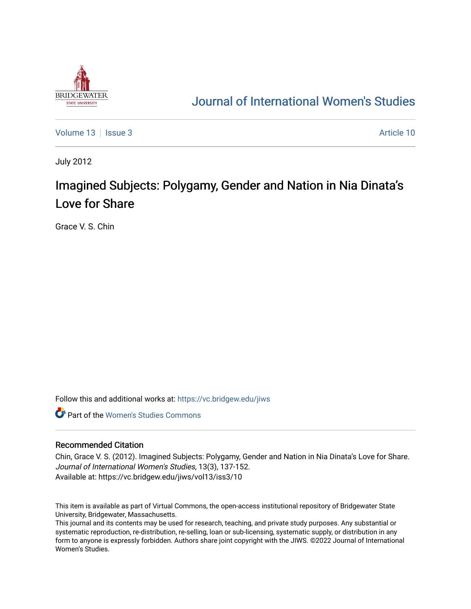

## [Journal of International Women's Studies](https://vc.bridgew.edu/jiws)

[Volume 13](https://vc.bridgew.edu/jiws/vol13) | [Issue 3](https://vc.bridgew.edu/jiws/vol13/iss3) Article 10

July 2012

# Imagined Subjects: Polygamy, Gender and Nation in Nia Dinata's Love for Share

Grace V. S. Chin

Follow this and additional works at: [https://vc.bridgew.edu/jiws](https://vc.bridgew.edu/jiws?utm_source=vc.bridgew.edu%2Fjiws%2Fvol13%2Fiss3%2F10&utm_medium=PDF&utm_campaign=PDFCoverPages)

**C** Part of the Women's Studies Commons

#### Recommended Citation

Chin, Grace V. S. (2012). Imagined Subjects: Polygamy, Gender and Nation in Nia Dinata's Love for Share. Journal of International Women's Studies, 13(3), 137-152. Available at: https://vc.bridgew.edu/jiws/vol13/iss3/10

This item is available as part of Virtual Commons, the open-access institutional repository of Bridgewater State University, Bridgewater, Massachusetts.

This journal and its contents may be used for research, teaching, and private study purposes. Any substantial or systematic reproduction, re-distribution, re-selling, loan or sub-licensing, systematic supply, or distribution in any form to anyone is expressly forbidden. Authors share joint copyright with the JIWS. ©2022 Journal of International Women's Studies.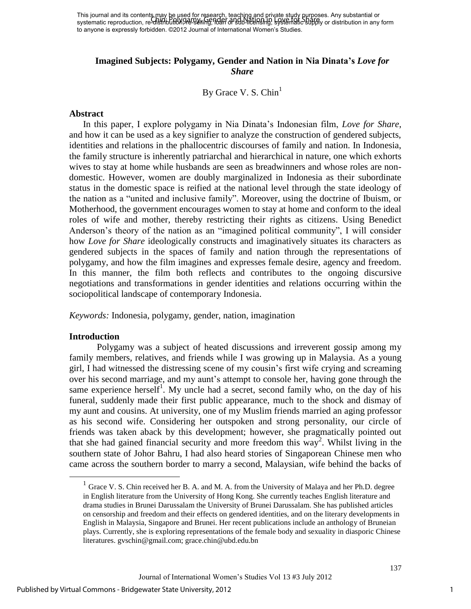This journal and its contents may be used for research, teaching and private study purposes. Any substantial or This journal and his concents hay be been on research, reading and private stage priposes. Any substantial or<br>systematic reproduction, re-distribution, 98-99 (in the Machine for Share), systematic supply or distribution in to anyone is expressly forbidden. ©2012 Journal of International Women's Studies.

## **Imagined Subjects: Polygamy, Gender and Nation in Nia Dinata's** *Love for Share*

By Grace V. S.  $Chin<sup>1</sup>$ 

#### **Abstract**

In this paper, I explore polygamy in Nia Dinata's Indonesian film, *Love for Share*, and how it can be used as a key signifier to analyze the construction of gendered subjects, identities and relations in the phallocentric discourses of family and nation. In Indonesia, the family structure is inherently patriarchal and hierarchical in nature, one which exhorts wives to stay at home while husbands are seen as breadwinners and whose roles are nondomestic. However, women are doubly marginalized in Indonesia as their subordinate status in the domestic space is reified at the national level through the state ideology of the nation as a "united and inclusive family". Moreover, using the doctrine of Ibuism, or Motherhood, the government encourages women to stay at home and conform to the ideal roles of wife and mother, thereby restricting their rights as citizens. Using Benedict Anderson's theory of the nation as an "imagined political community", I will consider how *Love for Share* ideologically constructs and imaginatively situates its characters as gendered subjects in the spaces of family and nation through the representations of polygamy, and how the film imagines and expresses female desire, agency and freedom. In this manner, the film both reflects and contributes to the ongoing discursive negotiations and transformations in gender identities and relations occurring within the sociopolitical landscape of contemporary Indonesia.

*Keywords:* Indonesia, polygamy, gender, nation, imagination

#### **Introduction**

 $\overline{a}$ 

Polygamy was a subject of heated discussions and irreverent gossip among my family members, relatives, and friends while I was growing up in Malaysia. As a young girl, I had witnessed the distressing scene of my cousin's first wife crying and screaming over his second marriage, and my aunt's attempt to console her, having gone through the same experience herself<sup>1</sup>. My uncle had a secret, second family who, on the day of his funeral, suddenly made their first public appearance, much to the shock and dismay of my aunt and cousins. At university, one of my Muslim friends married an aging professor as his second wife. Considering her outspoken and strong personality, our circle of friends was taken aback by this development; however, she pragmatically pointed out that she had gained financial security and more freedom this  $way^2$ . Whilst living in the southern state of Johor Bahru, I had also heard stories of Singaporean Chinese men who came across the southern border to marry a second, Malaysian, wife behind the backs of

<sup>&</sup>lt;sup>1</sup> Grace V. S. Chin received her B. A. and M. A. from the University of Malaya and her Ph.D. degree in English literature from the University of Hong Kong. She currently teaches English literature and drama studies in Brunei Darussalam the University of Brunei Darussalam. She has published articles on censorship and freedom and their effects on gendered identities, and on the literary developments in English in Malaysia, Singapore and Brunei. Her recent publications include an anthology of Bruneian plays. Currently, she is exploring representations of the female body and sexuality in diasporic Chinese literatures. gvschin@gmail.com; grace.chin@ubd.edu.bn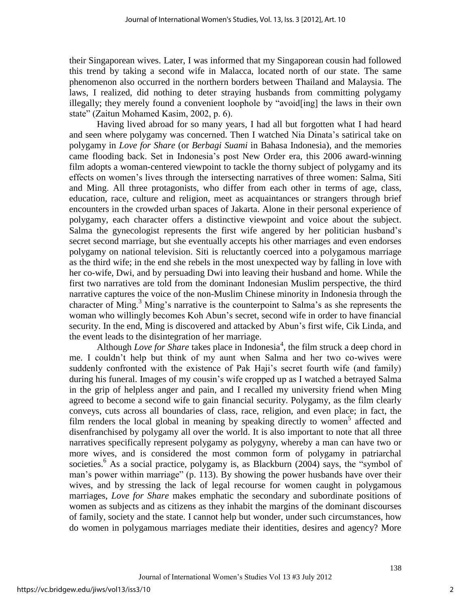their Singaporean wives. Later, I was informed that my Singaporean cousin had followed this trend by taking a second wife in Malacca, located north of our state. The same phenomenon also occurred in the northern borders between Thailand and Malaysia. The laws, I realized, did nothing to deter straying husbands from committing polygamy illegally; they merely found a convenient loophole by "avoid[ing] the laws in their own state" (Zaitun Mohamed Kasim, 2002, p. 6).

Having lived abroad for so many years, I had all but forgotten what I had heard and seen where polygamy was concerned. Then I watched Nia Dinata's satirical take on polygamy in *Love for Share* (or *Berbagi Suami* in Bahasa Indonesia), and the memories came flooding back. Set in Indonesia's post New Order era, this 2006 award-winning film adopts a woman-centered viewpoint to tackle the thorny subject of polygamy and its effects on women's lives through the intersecting narratives of three women: Salma, Siti and Ming. All three protagonists, who differ from each other in terms of age, class, education, race, culture and religion, meet as acquaintances or strangers through brief encounters in the crowded urban spaces of Jakarta. Alone in their personal experience of polygamy, each character offers a distinctive viewpoint and voice about the subject. Salma the gynecologist represents the first wife angered by her politician husband's secret second marriage, but she eventually accepts his other marriages and even endorses polygamy on national television. Siti is reluctantly coerced into a polygamous marriage as the third wife; in the end she rebels in the most unexpected way by falling in love with her co-wife, Dwi, and by persuading Dwi into leaving their husband and home. While the first two narratives are told from the dominant Indonesian Muslim perspective, the third narrative captures the voice of the non-Muslim Chinese minority in Indonesia through the character of Ming.<sup>3</sup> Ming's narrative is the counterpoint to Salma's as she represents the woman who willingly becomes Koh Abun's secret, second wife in order to have financial security. In the end, Ming is discovered and attacked by Abun's first wife, Cik Linda, and the event leads to the disintegration of her marriage.

Although *Love for Share* takes place in Indonesia<sup>4</sup>, the film struck a deep chord in me. I couldn't help but think of my aunt when Salma and her two co-wives were suddenly confronted with the existence of Pak Haji's secret fourth wife (and family) during his funeral. Images of my cousin's wife cropped up as I watched a betrayed Salma in the grip of helpless anger and pain, and I recalled my university friend when Ming agreed to become a second wife to gain financial security. Polygamy, as the film clearly conveys, cuts across all boundaries of class, race, religion, and even place; in fact, the film renders the local global in meaning by speaking directly to women<sup>5</sup> affected and disenfranchised by polygamy all over the world. It is also important to note that all three narratives specifically represent polygamy as polygyny, whereby a man can have two or more wives, and is considered the most common form of polygamy in patriarchal societies.<sup>6</sup> As a social practice, polygamy is, as Blackburn (2004) says, the "symbol of man's power within marriage" (p. 113). By showing the power husbands have over their wives, and by stressing the lack of legal recourse for women caught in polygamous marriages, *Love for Share* makes emphatic the secondary and subordinate positions of women as subjects and as citizens as they inhabit the margins of the dominant discourses of family, society and the state. I cannot help but wonder, under such circumstances, how do women in polygamous marriages mediate their identities, desires and agency? More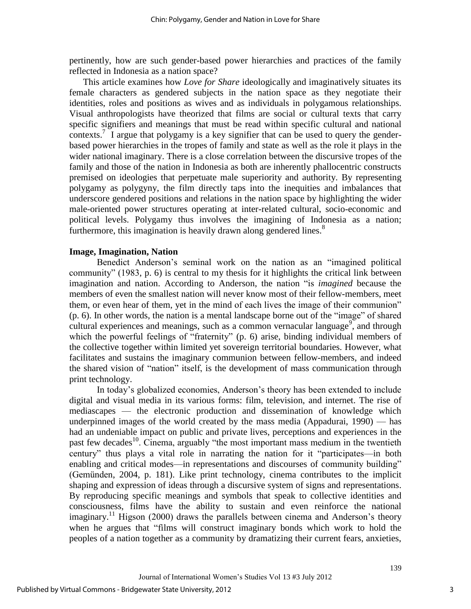pertinently, how are such gender-based power hierarchies and practices of the family reflected in Indonesia as a nation space?

This article examines how *Love for Share* ideologically and imaginatively situates its female characters as gendered subjects in the nation space as they negotiate their identities, roles and positions as wives and as individuals in polygamous relationships. Visual anthropologists have theorized that films are social or cultural texts that carry specific signifiers and meanings that must be read within specific cultural and national contexts.<sup>7</sup> I argue that polygamy is a key signifier that can be used to query the genderbased power hierarchies in the tropes of family and state as well as the role it plays in the wider national imaginary. There is a close correlation between the discursive tropes of the family and those of the nation in Indonesia as both are inherently phallocentric constructs premised on ideologies that perpetuate male superiority and authority. By representing polygamy as polygyny, the film directly taps into the inequities and imbalances that underscore gendered positions and relations in the nation space by highlighting the wider male-oriented power structures operating at inter-related cultural, socio-economic and political levels. Polygamy thus involves the imagining of Indonesia as a nation; furthermore, this imagination is heavily drawn along gendered lines.<sup>8</sup>

## **Image, Imagination, Nation**

Benedict Anderson's seminal work on the nation as an "imagined political community" (1983, p.  $6$ ) is central to my thesis for it highlights the critical link between imagination and nation. According to Anderson, the nation "is *imagined* because the members of even the smallest nation will never know most of their fellow-members, meet them, or even hear of them, yet in the mind of each lives the image of their communion"  $(p. 6)$ . In other words, the nation is a mental landscape borne out of the "image" of shared cultural experiences and meanings, such as a common vernacular language, and through which the powerful feelings of "fraternity"  $(p, 6)$  arise, binding individual members of the collective together within limited yet sovereign territorial boundaries. However, what facilitates and sustains the imaginary communion between fellow-members, and indeed the shared vision of "nation" itself, is the development of mass communication through print technology.

In today's globalized economies, Anderson's theory has been extended to include digital and visual media in its various forms: film, television, and internet. The rise of mediascapes — the electronic production and dissemination of knowledge which underpinned images of the world created by the mass media (Appadurai, 1990) — has had an undeniable impact on public and private lives, perceptions and experiences in the past few decades<sup>10</sup>. Cinema, arguably "the most important mass medium in the twentieth century" thus plays a vital role in narrating the nation for it "participates—in both enabling and critical modes—in representations and discourses of community building" (Gemünden, 2004, p. 181). Like print technology, cinema contributes to the implicit shaping and expression of ideas through a discursive system of signs and representations. By reproducing specific meanings and symbols that speak to collective identities and consciousness, films have the ability to sustain and even reinforce the national imaginary.<sup>11</sup> Higson (2000) draws the parallels between cinema and Anderson's theory when he argues that "films will construct imaginary bonds which work to hold the peoples of a nation together as a community by dramatizing their current fears, anxieties,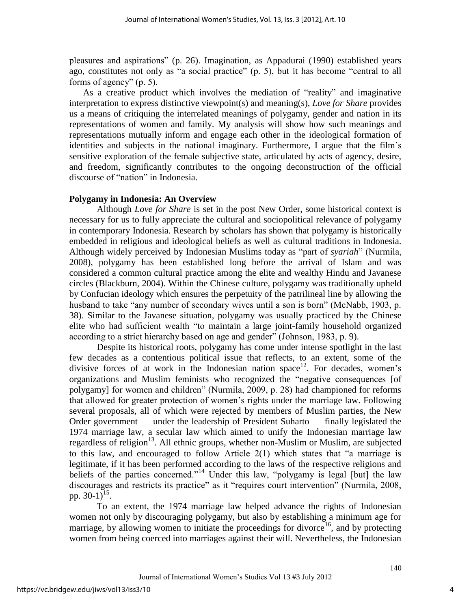pleasures and aspirations‖ (p. 26). Imagination, as Appadurai (1990) established years ago, constitutes not only as "a social practice"  $(p. 5)$ , but it has become "central to all forms of agency"  $(p. 5)$ .

As a creative product which involves the mediation of "reality" and imaginative interpretation to express distinctive viewpoint(s) and meaning(s), *Love for Share* provides us a means of critiquing the interrelated meanings of polygamy, gender and nation in its representations of women and family. My analysis will show how such meanings and representations mutually inform and engage each other in the ideological formation of identities and subjects in the national imaginary. Furthermore, I argue that the film's sensitive exploration of the female subjective state, articulated by acts of agency, desire, and freedom, significantly contributes to the ongoing deconstruction of the official discourse of "nation" in Indonesia.

## **Polygamy in Indonesia: An Overview**

Although *Love for Share* is set in the post New Order, some historical context is necessary for us to fully appreciate the cultural and sociopolitical relevance of polygamy in contemporary Indonesia. Research by scholars has shown that polygamy is historically embedded in religious and ideological beliefs as well as cultural traditions in Indonesia. Although widely perceived by Indonesian Muslims today as "part of *syariah*" (Nurmila, 2008), polygamy has been established long before the arrival of Islam and was considered a common cultural practice among the elite and wealthy Hindu and Javanese circles (Blackburn, 2004). Within the Chinese culture, polygamy was traditionally upheld by Confucian ideology which ensures the perpetuity of the patrilineal line by allowing the husband to take "any number of secondary wives until a son is born" (McNabb, 1903, p. 38). Similar to the Javanese situation, polygamy was usually practiced by the Chinese elite who had sufficient wealth "to maintain a large joint-family household organized according to a strict hierarchy based on age and gender" (Johnson, 1983, p. 9).

Despite its historical roots, polygamy has come under intense spotlight in the last few decades as a contentious political issue that reflects, to an extent, some of the divisive forces of at work in the Indonesian nation space<sup>12</sup>. For decades, women's organizations and Muslim feminists who recognized the "negative consequences [of polygamy] for women and children" (Nurmila, 2009, p. 28) had championed for reforms that allowed for greater protection of women's rights under the marriage law. Following several proposals, all of which were rejected by members of Muslim parties, the New Order government — under the leadership of President Suharto — finally legislated the 1974 marriage law, a secular law which aimed to unify the Indonesian marriage law regardless of religion<sup>13</sup>. All ethnic groups, whether non-Muslim or Muslim, are subjected to this law, and encouraged to follow Article  $2(1)$  which states that "a marriage is legitimate, if it has been performed according to the laws of the respective religions and beliefs of the parties concerned."<sup>14</sup> Under this law, "polygamy is legal [but] the law discourages and restricts its practice" as it "requires court intervention" (Nurmila, 2008, pp. 30-1)<sup>15</sup>.

To an extent, the 1974 marriage law helped advance the rights of Indonesian women not only by discouraging polygamy, but also by establishing a minimum age for marriage, by allowing women to initiate the proceedings for divorce<sup>16</sup>, and by protecting women from being coerced into marriages against their will. Nevertheless, the Indonesian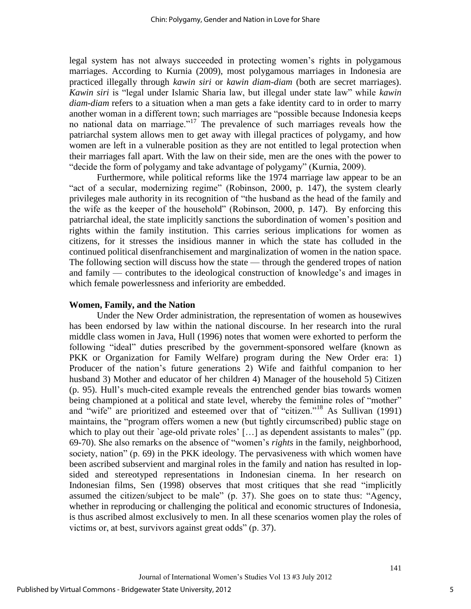legal system has not always succeeded in protecting women's rights in polygamous marriages. According to Kurnia (2009), most polygamous marriages in Indonesia are practiced illegally through *kawin siri* or *kawin diam-diam* (both are secret marriages). *Kawin siri* is "legal under Islamic Sharia law, but illegal under state law" while *kawin diam-diam* refers to a situation when a man gets a fake identity card to in order to marry another woman in a different town; such marriages are "possible because Indonesia keeps no national data on marriage.<sup> $17$ </sup> The prevalence of such marriages reveals how the patriarchal system allows men to get away with illegal practices of polygamy, and how women are left in a vulnerable position as they are not entitled to legal protection when their marriages fall apart. With the law on their side, men are the ones with the power to "decide the form of polygamy and take advantage of polygamy" (Kurnia, 2009).

Furthermore, while political reforms like the 1974 marriage law appear to be an "act of a secular, modernizing regime" (Robinson, 2000, p. 147), the system clearly privileges male authority in its recognition of "the husband as the head of the family and the wife as the keeper of the household" (Robinson, 2000, p. 147). By enforcing this patriarchal ideal, the state implicitly sanctions the subordination of women's position and rights within the family institution. This carries serious implications for women as citizens, for it stresses the insidious manner in which the state has colluded in the continued political disenfranchisement and marginalization of women in the nation space. The following section will discuss how the state — through the gendered tropes of nation and family — contributes to the ideological construction of knowledge's and images in which female powerlessness and inferiority are embedded.

#### **Women, Family, and the Nation**

Under the New Order administration, the representation of women as housewives has been endorsed by law within the national discourse. In her research into the rural middle class women in Java, Hull (1996) notes that women were exhorted to perform the following "ideal" duties prescribed by the government-sponsored welfare (known as PKK or Organization for Family Welfare) program during the New Order era: 1) Producer of the nation's future generations 2) Wife and faithful companion to her husband 3) Mother and educator of her children 4) Manager of the household 5) Citizen (p. 95). Hull's much-cited example reveals the entrenched gender bias towards women being championed at a political and state level, whereby the feminine roles of "mother" and "wife" are prioritized and esteemed over that of "citizen."<sup>18</sup> As Sullivan (1991) maintains, the "program offers women a new (but tightly circumscribed) public stage on which to play out their `age-old private roles'  $[\dots]$  as dependent assistants to males" (pp. 69-70). She also remarks on the absence of "women's *rights* in the family, neighborhood, society, nation" (p. 69) in the PKK ideology. The pervasiveness with which women have been ascribed subservient and marginal roles in the family and nation has resulted in lopsided and stereotyped representations in Indonesian cinema. In her research on Indonesian films, Sen (1998) observes that most critiques that she read "implicitly assumed the citizen/subject to be male" (p. 37). She goes on to state thus: "Agency, whether in reproducing or challenging the political and economic structures of Indonesia, is thus ascribed almost exclusively to men. In all these scenarios women play the roles of victims or, at best, survivors against great odds" (p. 37).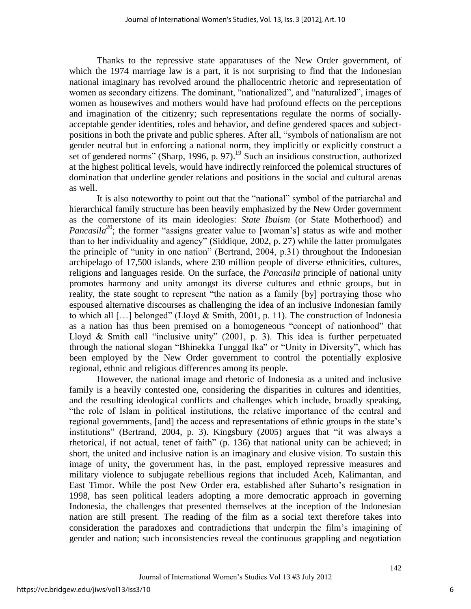Thanks to the repressive state apparatuses of the New Order government, of which the 1974 marriage law is a part, it is not surprising to find that the Indonesian national imaginary has revolved around the phallocentric rhetoric and representation of women as secondary citizens. The dominant, "nationalized", and "naturalized", images of women as housewives and mothers would have had profound effects on the perceptions and imagination of the citizenry; such representations regulate the norms of sociallyacceptable gender identities, roles and behavior, and define gendered spaces and subjectpositions in both the private and public spheres. After all, "symbols of nationalism are not gender neutral but in enforcing a national norm, they implicitly or explicitly construct a set of gendered norms" (Sharp, 1996, p. 97).<sup>19</sup> Such an insidious construction, authorized at the highest political levels, would have indirectly reinforced the polemical structures of domination that underline gender relations and positions in the social and cultural arenas as well.

It is also noteworthy to point out that the "national" symbol of the patriarchal and hierarchical family structure has been heavily emphasized by the New Order government as the cornerstone of its main ideologies: *State Ibuism* (or State Motherhood) and *Pancasila*<sup>20</sup>; the former "assigns greater value to [woman's] status as wife and mother than to her individuality and agency" (Siddique, 2002, p. 27) while the latter promulgates the principle of "unity in one nation" (Bertrand, 2004, p.31) throughout the Indonesian archipelago of 17,500 islands, where 230 million people of diverse ethnicities, cultures, religions and languages reside. On the surface, the *Pancasila* principle of national unity promotes harmony and unity amongst its diverse cultures and ethnic groups, but in reality, the state sought to represent "the nation as a family [by] portraying those who espoused alternative discourses as challenging the idea of an inclusive Indonesian family to which all  $[\dots]$  belonged" (Lloyd & Smith, 2001, p. 11). The construction of Indonesia as a nation has thus been premised on a homogeneous "concept of nationhood" that Lloyd & Smith call "inclusive unity"  $(2001, p. 3)$ . This idea is further perpetuated through the national slogan "Bhinekka Tunggal Ika" or "Unity in Diversity", which has been employed by the New Order government to control the potentially explosive regional, ethnic and religious differences among its people.

However, the national image and rhetoric of Indonesia as a united and inclusive family is a heavily contested one, considering the disparities in cultures and identities, and the resulting ideological conflicts and challenges which include, broadly speaking, ―the role of Islam in political institutions, the relative importance of the central and regional governments, [and] the access and representations of ethnic groups in the state's institutions" (Bertrand, 2004, p. 3). Kingsbury (2005) argues that "it was always a rhetorical, if not actual, tenet of faith" (p. 136) that national unity can be achieved; in short, the united and inclusive nation is an imaginary and elusive vision. To sustain this image of unity, the government has, in the past, employed repressive measures and military violence to subjugate rebellious regions that included Aceh, Kalimantan, and East Timor. While the post New Order era, established after Suharto's resignation in 1998, has seen political leaders adopting a more democratic approach in governing Indonesia, the challenges that presented themselves at the inception of the Indonesian nation are still present. The reading of the film as a social text therefore takes into consideration the paradoxes and contradictions that underpin the film's imagining of gender and nation; such inconsistencies reveal the continuous grappling and negotiation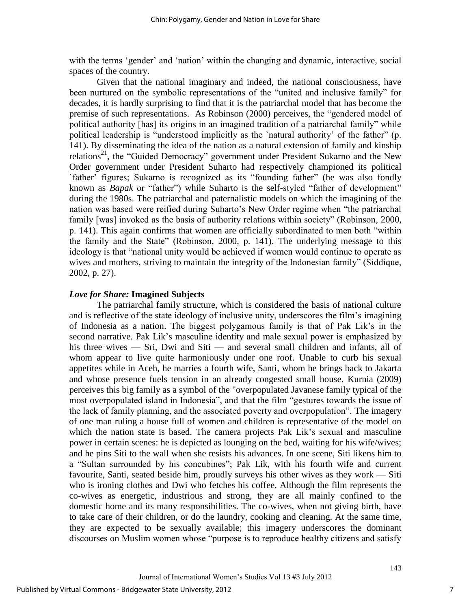with the terms 'gender' and 'nation' within the changing and dynamic, interactive, social spaces of the country.

Given that the national imaginary and indeed, the national consciousness, have been nurtured on the symbolic representations of the "united and inclusive family" for decades, it is hardly surprising to find that it is the patriarchal model that has become the premise of such representations. As Robinson (2000) perceives, the "gendered model of political authority [has] its origins in an imagined tradition of a patriarchal family" while political leadership is "understood implicitly as the `natural authority' of the father" (p. 141). By disseminating the idea of the nation as a natural extension of family and kinship relations<sup>21</sup>, the "Guided Democracy" government under President Sukarno and the New Order government under President Suharto had respectively championed its political `father' figures; Sukarno is recognized as its "founding father" (he was also fondly known as *Bapak* or "father") while Suharto is the self-styled "father of development" during the 1980s. The patriarchal and paternalistic models on which the imagining of the nation was based were reified during Suharto's New Order regime when "the patriarchal family [was] invoked as the basis of authority relations within society" (Robinson, 2000, p. 141). This again confirms that women are officially subordinated to men both "within the family and the State" (Robinson, 2000, p. 141). The underlying message to this ideology is that "national unity would be achieved if women would continue to operate as wives and mothers, striving to maintain the integrity of the Indonesian family" (Siddique, 2002, p. 27).

## *Love for Share:* **Imagined Subjects**

The patriarchal family structure, which is considered the basis of national culture and is reflective of the state ideology of inclusive unity, underscores the film's imagining of Indonesia as a nation. The biggest polygamous family is that of Pak Lik's in the second narrative. Pak Lik's masculine identity and male sexual power is emphasized by his three wives — Sri, Dwi and Siti — and several small children and infants, all of whom appear to live quite harmoniously under one roof. Unable to curb his sexual appetites while in Aceh, he marries a fourth wife, Santi, whom he brings back to Jakarta and whose presence fuels tension in an already congested small house. Kurnia (2009) perceives this big family as a symbol of the "overpopulated Javanese family typical of the most overpopulated island in Indonesia", and that the film "gestures towards the issue of the lack of family planning, and the associated poverty and overpopulation". The imagery of one man ruling a house full of women and children is representative of the model on which the nation state is based. The camera projects Pak Lik's sexual and masculine power in certain scenes: he is depicted as lounging on the bed, waiting for his wife/wives; and he pins Siti to the wall when she resists his advances. In one scene, Siti likens him to a "Sultan surrounded by his concubines"; Pak Lik, with his fourth wife and current favourite, Santi, seated beside him, proudly surveys his other wives as they work — Siti who is ironing clothes and Dwi who fetches his coffee. Although the film represents the co-wives as energetic, industrious and strong, they are all mainly confined to the domestic home and its many responsibilities. The co-wives, when not giving birth, have to take care of their children, or do the laundry, cooking and cleaning. At the same time, they are expected to be sexually available; this imagery underscores the dominant discourses on Muslim women whose "purpose is to reproduce healthy citizens and satisfy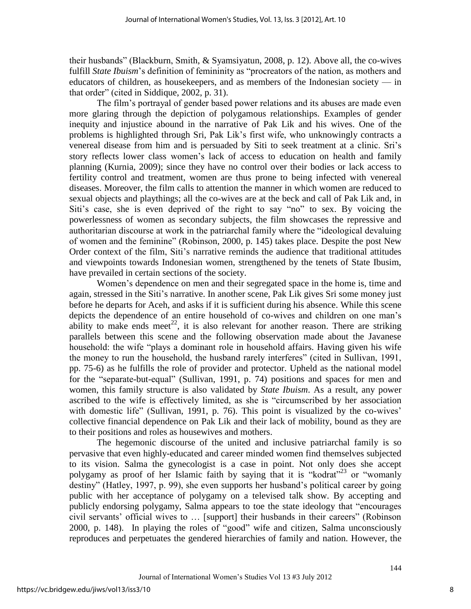their husbands" (Blackburn, Smith,  $&$  Syamsiyatun, 2008, p. 12). Above all, the co-wives fulfill *State Ibuism*'s definition of femininity as "procreators of the nation, as mothers and educators of children, as housekeepers, and as members of the Indonesian society — in that order" (cited in Siddique,  $2002$ , p. 31).

The film's portrayal of gender based power relations and its abuses are made even more glaring through the depiction of polygamous relationships. Examples of gender inequity and injustice abound in the narrative of Pak Lik and his wives. One of the problems is highlighted through Sri, Pak Lik's first wife, who unknowingly contracts a venereal disease from him and is persuaded by Siti to seek treatment at a clinic. Sri's story reflects lower class women's lack of access to education on health and family planning (Kurnia, 2009); since they have no control over their bodies or lack access to fertility control and treatment, women are thus prone to being infected with venereal diseases. Moreover, the film calls to attention the manner in which women are reduced to sexual objects and playthings; all the co-wives are at the beck and call of Pak Lik and, in Siti's case, she is even deprived of the right to say "no" to sex. By voicing the powerlessness of women as secondary subjects, the film showcases the repressive and authoritarian discourse at work in the patriarchal family where the "ideological devaluing of women and the feminine" (Robinson, 2000, p. 145) takes place. Despite the post New Order context of the film, Siti's narrative reminds the audience that traditional attitudes and viewpoints towards Indonesian women, strengthened by the tenets of State Ibusim, have prevailed in certain sections of the society.

Women's dependence on men and their segregated space in the home is, time and again, stressed in the Siti's narrative. In another scene, Pak Lik gives Sri some money just before he departs for Aceh, and asks if it is sufficient during his absence. While this scene depicts the dependence of an entire household of co-wives and children on one man's ability to make ends meet<sup>22</sup>, it is also relevant for another reason. There are striking parallels between this scene and the following observation made about the Javanese household: the wife "plays a dominant role in household affairs. Having given his wife the money to run the household, the husband rarely interferes" (cited in Sullivan, 1991, pp. 75-6) as he fulfills the role of provider and protector. Upheld as the national model for the "separate-but-equal" (Sullivan, 1991, p. 74) positions and spaces for men and women, this family structure is also validated by *State Ibuism*. As a result, any power ascribed to the wife is effectively limited, as she is "circumscribed by her association with domestic life" (Sullivan, 1991, p. 76). This point is visualized by the co-wives' collective financial dependence on Pak Lik and their lack of mobility, bound as they are to their positions and roles as housewives and mothers.

The hegemonic discourse of the united and inclusive patriarchal family is so pervasive that even highly-educated and career minded women find themselves subjected to its vision. Salma the gynecologist is a case in point. Not only does she accept polygamy as proof of her Islamic faith by saying that it is "kodrat"<sup>23</sup> or "womanly" destiny" (Hatley, 1997, p. 99), she even supports her husband's political career by going public with her acceptance of polygamy on a televised talk show. By accepting and publicly endorsing polygamy, Salma appears to toe the state ideology that "encourages" civil servants' official wives to ... [support] their husbands in their careers" (Robinson 2000, p. 148). In playing the roles of "good" wife and citizen, Salma unconsciously reproduces and perpetuates the gendered hierarchies of family and nation. However, the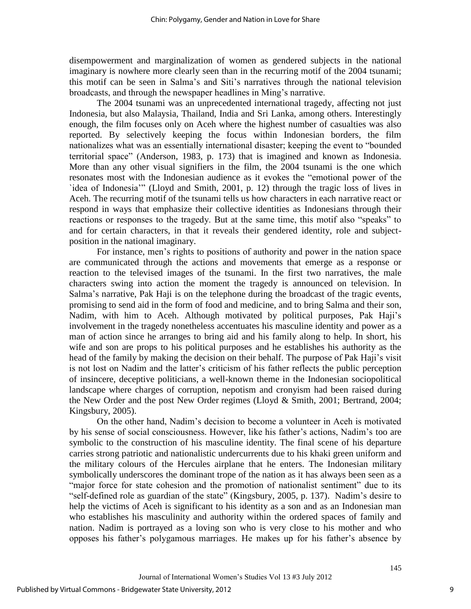disempowerment and marginalization of women as gendered subjects in the national imaginary is nowhere more clearly seen than in the recurring motif of the 2004 tsunami; this motif can be seen in Salma's and Siti's narratives through the national television broadcasts, and through the newspaper headlines in Ming's narrative.

The 2004 tsunami was an unprecedented international tragedy, affecting not just Indonesia, but also Malaysia, Thailand, India and Sri Lanka, among others. Interestingly enough, the film focuses only on Aceh where the highest number of casualties was also reported. By selectively keeping the focus within Indonesian borders, the film nationalizes what was an essentially international disaster; keeping the event to "bounded territorial space" (Anderson, 1983, p. 173) that is imagined and known as Indonesia. More than any other visual signifiers in the film, the 2004 tsunami is the one which resonates most with the Indonesian audience as it evokes the "emotional power of the `idea of Indonesia'‖ (Lloyd and Smith, 2001, p. 12) through the tragic loss of lives in Aceh. The recurring motif of the tsunami tells us how characters in each narrative react or respond in ways that emphasize their collective identities as Indonesians through their reactions or responses to the tragedy. But at the same time, this motif also "speaks" to and for certain characters, in that it reveals their gendered identity, role and subjectposition in the national imaginary.

For instance, men's rights to positions of authority and power in the nation space are communicated through the actions and movements that emerge as a response or reaction to the televised images of the tsunami. In the first two narratives, the male characters swing into action the moment the tragedy is announced on television. In Salma's narrative, Pak Haji is on the telephone during the broadcast of the tragic events, promising to send aid in the form of food and medicine, and to bring Salma and their son, Nadim, with him to Aceh. Although motivated by political purposes, Pak Haji's involvement in the tragedy nonetheless accentuates his masculine identity and power as a man of action since he arranges to bring aid and his family along to help. In short, his wife and son are props to his political purposes and he establishes his authority as the head of the family by making the decision on their behalf. The purpose of Pak Haji's visit is not lost on Nadim and the latter's criticism of his father reflects the public perception of insincere, deceptive politicians, a well-known theme in the Indonesian sociopolitical landscape where charges of corruption, nepotism and cronyism had been raised during the New Order and the post New Order regimes (Lloyd & Smith, 2001; Bertrand, 2004; Kingsbury, 2005).

On the other hand, Nadim's decision to become a volunteer in Aceh is motivated by his sense of social consciousness. However, like his father's actions, Nadim's too are symbolic to the construction of his masculine identity. The final scene of his departure carries strong patriotic and nationalistic undercurrents due to his khaki green uniform and the military colours of the Hercules airplane that he enters. The Indonesian military symbolically underscores the dominant trope of the nation as it has always been seen as a "major force for state cohesion and the promotion of nationalist sentiment" due to its "self-defined role as guardian of the state" (Kingsbury, 2005, p. 137). Nadim's desire to help the victims of Aceh is significant to his identity as a son and as an Indonesian man who establishes his masculinity and authority within the ordered spaces of family and nation. Nadim is portrayed as a loving son who is very close to his mother and who opposes his father's polygamous marriages. He makes up for his father's absence by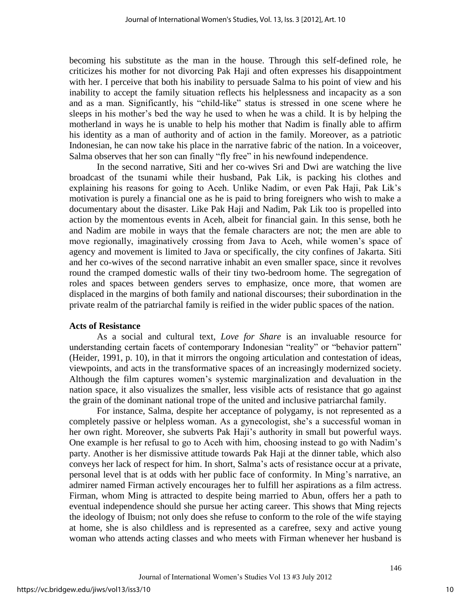becoming his substitute as the man in the house. Through this self-defined role, he criticizes his mother for not divorcing Pak Haji and often expresses his disappointment with her. I perceive that both his inability to persuade Salma to his point of view and his inability to accept the family situation reflects his helplessness and incapacity as a son and as a man. Significantly, his "child-like" status is stressed in one scene where he sleeps in his mother's bed the way he used to when he was a child. It is by helping the motherland in ways he is unable to help his mother that Nadim is finally able to affirm his identity as a man of authority and of action in the family. Moreover, as a patriotic Indonesian, he can now take his place in the narrative fabric of the nation. In a voiceover, Salma observes that her son can finally "fly free" in his newfound independence.

In the second narrative, Siti and her co-wives Sri and Dwi are watching the live broadcast of the tsunami while their husband, Pak Lik, is packing his clothes and explaining his reasons for going to Aceh. Unlike Nadim, or even Pak Haji, Pak Lik's motivation is purely a financial one as he is paid to bring foreigners who wish to make a documentary about the disaster. Like Pak Haji and Nadim, Pak Lik too is propelled into action by the momentous events in Aceh, albeit for financial gain. In this sense, both he and Nadim are mobile in ways that the female characters are not; the men are able to move regionally, imaginatively crossing from Java to Aceh, while women's space of agency and movement is limited to Java or specifically, the city confines of Jakarta. Siti and her co-wives of the second narrative inhabit an even smaller space, since it revolves round the cramped domestic walls of their tiny two-bedroom home. The segregation of roles and spaces between genders serves to emphasize, once more, that women are displaced in the margins of both family and national discourses; their subordination in the private realm of the patriarchal family is reified in the wider public spaces of the nation.

## **Acts of Resistance**

As a social and cultural text, *Love for Share* is an invaluable resource for understanding certain facets of contemporary Indonesian "reality" or "behavior pattern" (Heider, 1991, p. 10), in that it mirrors the ongoing articulation and contestation of ideas, viewpoints, and acts in the transformative spaces of an increasingly modernized society. Although the film captures women's systemic marginalization and devaluation in the nation space, it also visualizes the smaller, less visible acts of resistance that go against the grain of the dominant national trope of the united and inclusive patriarchal family.

For instance, Salma, despite her acceptance of polygamy, is not represented as a completely passive or helpless woman. As a gynecologist, she's a successful woman in her own right. Moreover, she subverts Pak Haji's authority in small but powerful ways. One example is her refusal to go to Aceh with him, choosing instead to go with Nadim's party. Another is her dismissive attitude towards Pak Haji at the dinner table, which also conveys her lack of respect for him. In short, Salma's acts of resistance occur at a private, personal level that is at odds with her public face of conformity. In Ming's narrative, an admirer named Firman actively encourages her to fulfill her aspirations as a film actress. Firman, whom Ming is attracted to despite being married to Abun, offers her a path to eventual independence should she pursue her acting career. This shows that Ming rejects the ideology of Ibuism; not only does she refuse to conform to the role of the wife staying at home, she is also childless and is represented as a carefree, sexy and active young woman who attends acting classes and who meets with Firman whenever her husband is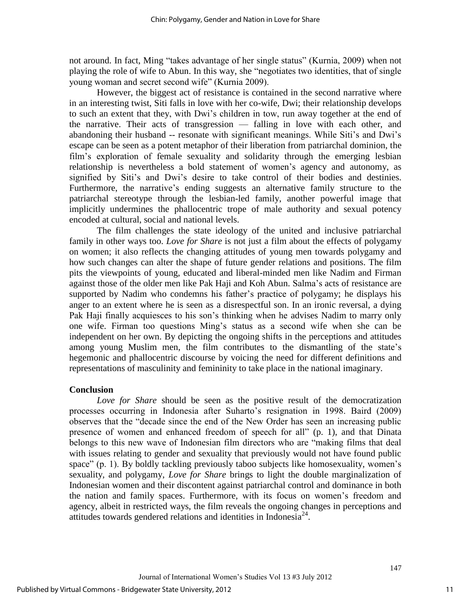not around. In fact, Ming "takes advantage of her single status" (Kurnia, 2009) when not playing the role of wife to Abun. In this way, she "negotiates two identities, that of single young woman and secret second wife" (Kurnia 2009).

However, the biggest act of resistance is contained in the second narrative where in an interesting twist, Siti falls in love with her co-wife, Dwi; their relationship develops to such an extent that they, with Dwi's children in tow, run away together at the end of the narrative. Their acts of transgression — falling in love with each other, and abandoning their husband -- resonate with significant meanings. While Siti's and Dwi's escape can be seen as a potent metaphor of their liberation from patriarchal dominion, the film's exploration of female sexuality and solidarity through the emerging lesbian relationship is nevertheless a bold statement of women's agency and autonomy, as signified by Siti's and Dwi's desire to take control of their bodies and destinies. Furthermore, the narrative's ending suggests an alternative family structure to the patriarchal stereotype through the lesbian-led family, another powerful image that implicitly undermines the phallocentric trope of male authority and sexual potency encoded at cultural, social and national levels.

The film challenges the state ideology of the united and inclusive patriarchal family in other ways too. *Love for Share* is not just a film about the effects of polygamy on women; it also reflects the changing attitudes of young men towards polygamy and how such changes can alter the shape of future gender relations and positions. The film pits the viewpoints of young, educated and liberal-minded men like Nadim and Firman against those of the older men like Pak Haji and Koh Abun. Salma's acts of resistance are supported by Nadim who condemns his father's practice of polygamy; he displays his anger to an extent where he is seen as a disrespectful son. In an ironic reversal, a dying Pak Haji finally acquiesces to his son's thinking when he advises Nadim to marry only one wife. Firman too questions Ming's status as a second wife when she can be independent on her own. By depicting the ongoing shifts in the perceptions and attitudes among young Muslim men, the film contributes to the dismantling of the state's hegemonic and phallocentric discourse by voicing the need for different definitions and representations of masculinity and femininity to take place in the national imaginary.

#### **Conclusion**

*Love for Share* should be seen as the positive result of the democratization processes occurring in Indonesia after Suharto's resignation in 1998. Baird (2009) observes that the "decade since the end of the New Order has seen an increasing public presence of women and enhanced freedom of speech for all" (p. 1), and that Dinata belongs to this new wave of Indonesian film directors who are "making films that deal with issues relating to gender and sexuality that previously would not have found public space" (p. 1). By boldly tackling previously taboo subjects like homosexuality, women's sexuality, and polygamy, *Love for Share* brings to light the double marginalization of Indonesian women and their discontent against patriarchal control and dominance in both the nation and family spaces. Furthermore, with its focus on women's freedom and agency, albeit in restricted ways, the film reveals the ongoing changes in perceptions and attitudes towards gendered relations and identities in Indonesia<sup>24</sup>.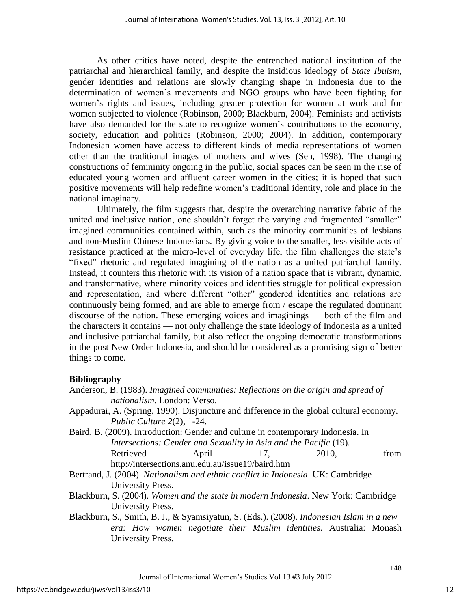As other critics have noted, despite the entrenched national institution of the patriarchal and hierarchical family, and despite the insidious ideology of *State Ibuism*, gender identities and relations are slowly changing shape in Indonesia due to the determination of women's movements and NGO groups who have been fighting for women's rights and issues, including greater protection for women at work and for women subjected to violence (Robinson, 2000; Blackburn, 2004). Feminists and activists have also demanded for the state to recognize women's contributions to the economy, society, education and politics (Robinson, 2000; 2004). In addition, contemporary Indonesian women have access to different kinds of media representations of women other than the traditional images of mothers and wives (Sen, 1998). The changing constructions of femininity ongoing in the public, social spaces can be seen in the rise of educated young women and affluent career women in the cities; it is hoped that such positive movements will help redefine women's traditional identity, role and place in the national imaginary.

Ultimately, the film suggests that, despite the overarching narrative fabric of the united and inclusive nation, one shouldn't forget the varying and fragmented "smaller" imagined communities contained within, such as the minority communities of lesbians and non-Muslim Chinese Indonesians. By giving voice to the smaller, less visible acts of resistance practiced at the micro-level of everyday life, the film challenges the state's "fixed" rhetoric and regulated imagining of the nation as a united patriarchal family. Instead, it counters this rhetoric with its vision of a nation space that is vibrant, dynamic, and transformative, where minority voices and identities struggle for political expression and representation, and where different "other" gendered identities and relations are continuously being formed, and are able to emerge from / escape the regulated dominant discourse of the nation. These emerging voices and imaginings — both of the film and the characters it contains — not only challenge the state ideology of Indonesia as a united and inclusive patriarchal family, but also reflect the ongoing democratic transformations in the post New Order Indonesia, and should be considered as a promising sign of better things to come.

## **Bibliography**

|  | Anderson, B. (1983). Imagined communities: Reflections on the origin and spread of     |  |  |
|--|----------------------------------------------------------------------------------------|--|--|
|  | <i>nationalism.</i> London: Verso.                                                     |  |  |
|  | Appadurai, A. (Spring, 1990). Disiuncture and difference in the global cultural econom |  |  |

- global cultural economy. *Public Culture 2*(2), 1-24.
- Baird, B. (2009). Introduction: Gender and culture in contemporary Indonesia. In *Intersections: Gender and Sexuality in Asia and the Pacific* (19). Retrieved April 17, 2010, from http://intersections.anu.edu.au/issue19/baird.htm
- Bertrand, J. (2004). *Nationalism and ethnic conflict in Indonesia*. UK: Cambridge University Press.

Blackburn, S. (2004). *Women and the state in modern Indonesia*. New York: Cambridge University Press.

Blackburn, S., Smith, B. J., & Syamsiyatun, S. (Eds.). (2008). *Indonesian Islam in a new era: How women negotiate their Muslim identities.* Australia: Monash University Press.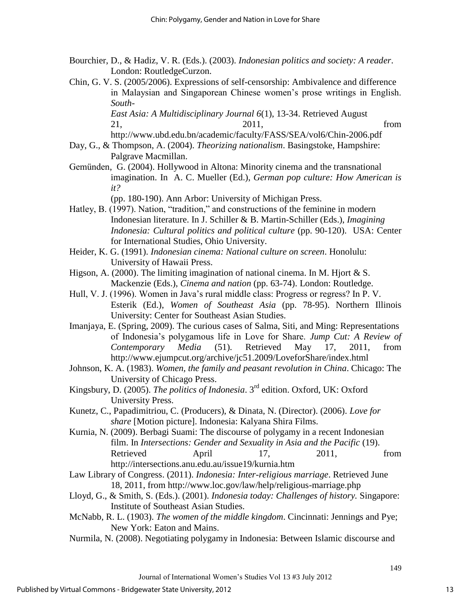- Bourchier, D., & Hadiz, V. R. (Eds.). (2003). *Indonesian politics and society: A reader*. London: RoutledgeCurzon.
- Chin, G. V. S. (2005/2006). Expressions of self-censorship: Ambivalence and difference in Malaysian and Singaporean Chinese women's prose writings in English. *South-*

*East Asia: A Multidisciplinary Journal 6*(1), 13-34. Retrieved August 21, 2011, from

http://www.ubd.edu.bn/academic/faculty/FASS/SEA/vol6/Chin-2006.pdf

- Day, G., & Thompson, A. (2004). *Theorizing nationalism*. Basingstoke, Hampshire: Palgrave Macmillan.
- Gemünden, G. (2004). Hollywood in Altona: Minority cinema and the transnational imagination. In A. C. Mueller (Ed.), *German pop culture: How American is it?*

(pp. 180-190). Ann Arbor: University of Michigan Press.

- Hatley, B. (1997). Nation, "tradition," and constructions of the feminine in modern Indonesian literature. In J. Schiller & B. Martin-Schiller (Eds.), *Imagining Indonesia: Cultural politics and political culture* (pp. 90-120). USA: Center for International Studies, Ohio University.
- Heider, K. G. (1991). *Indonesian cinema: National culture on screen*. Honolulu: University of Hawaii Press.
- Higson, A. (2000). The limiting imagination of national cinema. In M. Hjort  $& S$ . Mackenzie (Eds.), *Cinema and nation* (pp. 63-74). London: Routledge.
- Hull, V. J. (1996). Women in Java's rural middle class: Progress or regress? In P. V. Esterik (Ed.), *Women of Southeast Asia* (pp. 78-95). Northern Illinois University: Center for Southeast Asian Studies.
- Imanjaya, E. (Spring, 2009). The curious cases of Salma, Siti, and Ming: Representations of Indonesia's polygamous life in Love for Share. *Jump Cut: A Review of Contemporary Media* (51). Retrieved May 17, 2011, from http://www.ejumpcut.org/archive/jc51.2009/LoveforShare/index.html
- Johnson, K. A. (1983). *Women, the family and peasant revolution in China*. Chicago: The University of Chicago Press.
- Kingsbury, D. (2005). *The politics of Indonesia*. 3rd edition. Oxford, UK: Oxford University Press.
- Kunetz, C., Papadimitriou, C. (Producers), & Dinata, N. (Director). (2006). *Love for share* [Motion picture]. Indonesia: Kalyana Shira Films.
- Kurnia, N. (2009). Berbagi Suami: The discourse of polygamy in a recent Indonesian film. In *Intersections: Gender and Sexuality in Asia and the Pacific* (19). Retrieved April 17, 2011, from http://intersections.anu.edu.au/issue19/kurnia.htm
- Law Library of Congress. (2011). *Indonesia: Inter-religious marriage*. Retrieved June 18, 2011, from http://www.loc.gov/law/help/religious-marriage.php
- Lloyd, G., & Smith, S. (Eds.). (2001). *Indonesia today: Challenges of history.* Singapore: Institute of Southeast Asian Studies.
- McNabb, R. L. (1903). *The women of the middle kingdom*. Cincinnati: Jennings and Pye; New York: Eaton and Mains.
- Nurmila, N. (2008). Negotiating polygamy in Indonesia: Between Islamic discourse and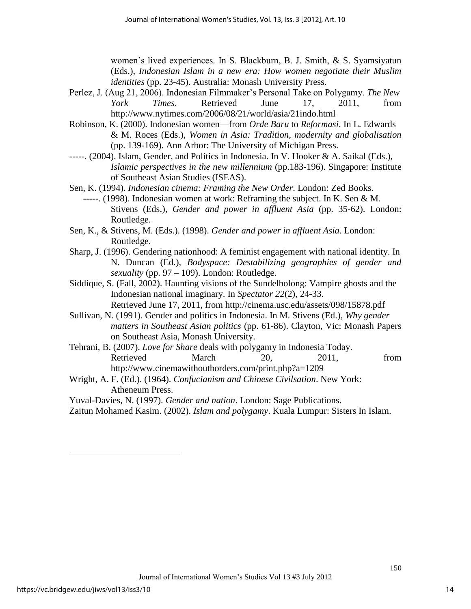women's lived experiences. In S. Blackburn, B. J. Smith, & S. Syamsiyatun (Eds.), *Indonesian Islam in a new era: How women negotiate their Muslim identities* (pp. 23-45). Australia: Monash University Press.

- Perlez, J. (Aug 21, 2006). Indonesian Filmmaker's Personal Take on Polygamy. *The New York Times*. Retrieved June 17, 2011, from http://www.nytimes.com/2006/08/21/world/asia/21indo.html
- Robinson, K. (2000). Indonesian women—from *Orde Baru* to *Reformasi*. In L. Edwards & M. Roces (Eds.), *Women in Asia: Tradition, modernity and globalisation* (pp. 139-169). Ann Arbor: The University of Michigan Press.
- -----. (2004). Islam, Gender, and Politics in Indonesia. In V. Hooker & A. Saikal (Eds.), *Islamic perspectives in the new millennium* (pp.183-196). Singapore: Institute of Southeast Asian Studies (ISEAS).
- Sen, K. (1994). *Indonesian cinema: Framing the New Order*. London: Zed Books.
	- -----. (1998). Indonesian women at work: Reframing the subject. In K. Sen & M. Stivens (Eds.), *Gender and power in affluent Asia* (pp. 35-62). London: Routledge.
- Sen, K., & Stivens, M. (Eds.). (1998). *Gender and power in affluent Asia*. London: Routledge.
- Sharp, J. (1996). Gendering nationhood: A feminist engagement with national identity. In N. Duncan (Ed.), *Bodyspace: Destabilizing geographies of gender and sexuality* (pp. 97 – 109). London: Routledge.
- Siddique, S. (Fall, 2002). Haunting visions of the Sundelbolong: Vampire ghosts and the Indonesian national imaginary. In *Spectator 22*(2), 24-33.

Retrieved June 17, 2011, from http://cinema.usc.edu/assets/098/15878.pdf

- Sullivan, N. (1991). Gender and politics in Indonesia. In M. Stivens (Ed.), *Why gender matters in Southeast Asian politics* (pp. 61-86). Clayton, Vic: Monash Papers on Southeast Asia, Monash University.
- Tehrani, B. (2007). *Love for Share* deals with polygamy in Indonesia Today. Retrieved March 20, 2011, from http://www.cinemawithoutborders.com/print.php?a=1209
- Wright, A. F. (Ed.). (1964). *Confucianism and Chinese Civilsation*. New York: Atheneum Press.
- Yuval-Davies, N. (1997). *Gender and nation*. London: Sage Publications.
- Zaitun Mohamed Kasim. (2002). *Islam and polygamy*. Kuala Lumpur: Sisters In Islam.

 $\overline{a}$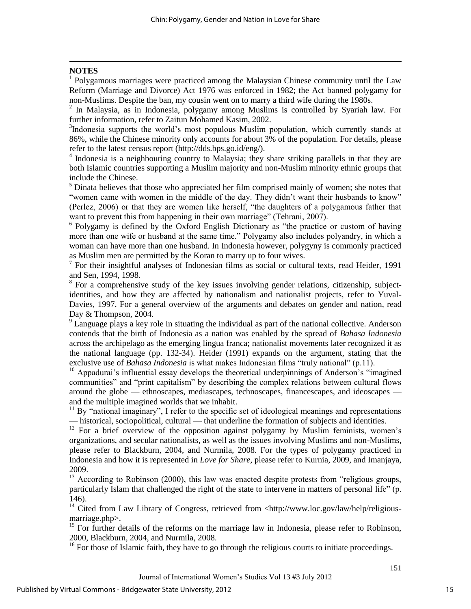#### **NOTES**

 $\overline{a}$ 

1 Polygamous marriages were practiced among the Malaysian Chinese community until the Law Reform (Marriage and Divorce) Act 1976 was enforced in 1982; the Act banned polygamy for non-Muslims. Despite the ban, my cousin went on to marry a third wife during the 1980s.

<sup>2</sup> In Malaysia, as in Indonesia, polygamy among Muslims is controlled by Syariah law. For further information, refer to Zaitun Mohamed Kasim, 2002.

<sup>3</sup>Indonesia supports the world's most populous Muslim population, which currently stands at 86%, while the Chinese minority only accounts for about 3% of the population. For details, please refer to the latest census report (http://dds.bps.go.id/eng/).

4 Indonesia is a neighbouring country to Malaysia; they share striking parallels in that they are both Islamic countries supporting a Muslim majority and non-Muslim minority ethnic groups that include the Chinese.

 $<sup>5</sup>$  Dinata believes that those who appreciated her film comprised mainly of women; she notes that</sup> "women came with women in the middle of the day. They didn't want their husbands to know" (Perlez, 2006) or that they are women like herself, "the daughters of a polygamous father that want to prevent this from happening in their own marriage" (Tehrani, 2007).

<sup>6</sup> Polygamy is defined by the Oxford English Dictionary as "the practice or custom of having more than one wife or husband at the same time." Polygamy also includes polyandry, in which a woman can have more than one husband. In Indonesia however, polygyny is commonly practiced as Muslim men are permitted by the Koran to marry up to four wives.

<sup>7</sup> For their insightful analyses of Indonesian films as social or cultural texts, read Heider, 1991 and Sen, 1994, 1998.

 $8$  For a comprehensive study of the key issues involving gender relations, citizenship, subjectidentities, and how they are affected by nationalism and nationalist projects, refer to Yuval-Davies, 1997. For a general overview of the arguments and debates on gender and nation, read Day & Thompson, 2004.

<sup>9</sup> Language plays a key role in situating the individual as part of the national collective. Anderson contends that the birth of Indonesia as a nation was enabled by the spread of *Bahasa Indonesia* across the archipelago as the emerging lingua franca; nationalist movements later recognized it as the national language (pp. 132-34). Heider (1991) expands on the argument, stating that the exclusive use of *Bahasa Indonesia* is what makes Indonesian films "truly national" (p.11).

 $10$  Appadurai's influential essay develops the theoretical underpinnings of Anderson's "imagined" communities" and "print capitalism" by describing the complex relations between cultural flows around the globe — ethnoscapes, mediascapes, technoscapes, financescapes, and ideoscapes and the multiple imagined worlds that we inhabit.

 $11$  By "national imaginary", I refer to the specific set of ideological meanings and representations — historical, sociopolitical, cultural — that underline the formation of subjects and identities.

<sup>12</sup> For a brief overview of the opposition against polygamy by Muslim feminists, women's organizations, and secular nationalists, as well as the issues involving Muslims and non-Muslims, please refer to Blackburn, 2004, and Nurmila, 2008. For the types of polygamy practiced in Indonesia and how it is represented in *Love for Share*, please refer to Kurnia, 2009, and Imanjaya, 2009.

<sup>13</sup> According to Robinson (2000), this law was enacted despite protests from "religious groups, particularly Islam that challenged the right of the state to intervene in matters of personal life"  $(p.$ 146).

<sup>14</sup> Cited from Law Library of Congress, retrieved from <http://www.loc.gov/law/help/religiousmarriage.php>.

<sup>15</sup> For further details of the reforms on the marriage law in Indonesia, please refer to Robinson, 2000, Blackburn, 2004, and Nurmila, 2008.

<sup>16</sup> For those of Islamic faith, they have to go through the religious courts to initiate proceedings.